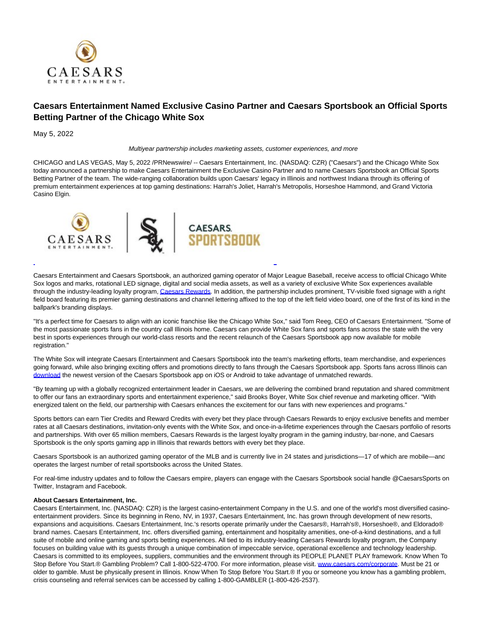

## **Caesars Entertainment Named Exclusive Casino Partner and Caesars Sportsbook an Official Sports Betting Partner of the Chicago White Sox**

May 5, 2022

Multiyear partnership includes marketing assets, customer experiences, and more

CHICAGO and LAS VEGAS, May 5, 2022 /PRNewswire/ -- Caesars Entertainment, Inc. (NASDAQ: CZR) ("Caesars") and the Chicago White Sox today announced a partnership to make Caesars Entertainment the Exclusive Casino Partner and to name Caesars Sportsbook an Official Sports Betting Partner of the team. The wide-ranging collaboration builds upon Caesars' legacy in Illinois and northwest Indiana through its offering of premium entertainment experiences at top gaming destinations: Harrah's Joliet, Harrah's Metropolis, Horseshoe Hammond, and Grand Victoria Casino Elgin.



Caesars Entertainment and Caesars Sportsbook, an authorized gaming operator of Major League Baseball, receive access to official Chicago White Sox logos and marks, rotational LED signage, digital and social media assets, as well as a variety of exclusive White Sox experiences available through the industry-leading loyalty program[, Caesars Rewards.](https://c212.net/c/link/?t=0&l=en&o=3527435-1&h=2053981442&u=https%3A%2F%2Fwww.caesars.com%2Fmyrewards&a=Caesars+Rewards) In addition, the partnership includes prominent, TV-visible fixed signage with a right field board featuring its premier gaming destinations and channel lettering affixed to the top of the left field video board, one of the first of its kind in the ballpark's branding displays.

L

"It's a perfect time for Caesars to align with an iconic franchise like the Chicago White Sox," said Tom Reeg, CEO of Caesars Entertainment. "Some of the most passionate sports fans in the country call Illinois home. Caesars can provide White Sox fans and sports fans across the state with the very best in sports experiences through our world-class resorts and the recent relaunch of the Caesars Sportsbook app now available for mobile registration."

The White Sox will integrate Caesars Entertainment and Caesars Sportsbook into the team's marketing efforts, team merchandise, and experiences going forward, while also bringing exciting offers and promotions directly to fans through the Caesars Sportsbook app. Sports fans across Illinois can [download t](https://c212.net/c/link/?t=0&l=en&o=3527435-1&h=1724131911&u=https%3A%2F%2Fwww.williamhill.com%2Fus%2Fget-the-app&a=download)he newest version of the Caesars Sportsbook app on iOS or Android to take advantage of unmatched rewards.

"By teaming up with a globally recognized entertainment leader in Caesars, we are delivering the combined brand reputation and shared commitment to offer our fans an extraordinary sports and entertainment experience," said Brooks Boyer, White Sox chief revenue and marketing officer. "With energized talent on the field, our partnership with Caesars enhances the excitement for our fans with new experiences and programs."

Sports bettors can earn Tier Credits and Reward Credits with every bet they place through Caesars Rewards to enjoy exclusive benefits and member rates at all Caesars destinations, invitation-only events with the White Sox, and once-in-a-lifetime experiences through the Caesars portfolio of resorts and partnerships. With over 65 million members, Caesars Rewards is the largest loyalty program in the gaming industry, bar-none, and Caesars Sportsbook is the only sports gaming app in Illinois that rewards bettors with every bet they place.

Caesars Sportsbook is an authorized gaming operator of the MLB and is currently live in 24 states and jurisdictions—17 of which are mobile—and operates the largest number of retail sportsbooks across the United States.

For real-time industry updates and to follow the Caesars empire, players can engage with the Caesars Sportsbook social handle @CaesarsSports on Twitter, Instagram and Facebook.

## **About Caesars Entertainment, Inc.**

Caesars Entertainment, Inc. (NASDAQ: CZR) is the largest casino-entertainment Company in the U.S. and one of the world's most diversified casinoentertainment providers. Since its beginning in Reno, NV, in 1937, Caesars Entertainment, Inc. has grown through development of new resorts, expansions and acquisitions. Caesars Entertainment, Inc.'s resorts operate primarily under the Caesars®, Harrah's®, Horseshoe®, and Eldorado® brand names. Caesars Entertainment, Inc. offers diversified gaming, entertainment and hospitality amenities, one-of-a-kind destinations, and a full suite of mobile and online gaming and sports betting experiences. All tied to its industry-leading Caesars Rewards loyalty program, the Company focuses on building value with its guests through a unique combination of impeccable service, operational excellence and technology leadership. Caesars is committed to its employees, suppliers, communities and the environment through its PEOPLE PLANET PLAY framework. Know When To Stop Before You Start.® Gambling Problem? Call 1-800-522-4700. For more information, please visit. [www.caesars.com/corporate.](https://c212.net/c/link/?t=0&l=en&o=3527435-1&h=2808567818&u=http%3A%2F%2Fwww.caesars.com%2Fcorporate&a=www.caesars.com%2Fcorporate) Must be 21 or older to gamble. Must be physically present in Illinois. Know When To Stop Before You Start.® If you or someone you know has a gambling problem, crisis counseling and referral services can be accessed by calling 1-800-GAMBLER (1-800-426-2537).